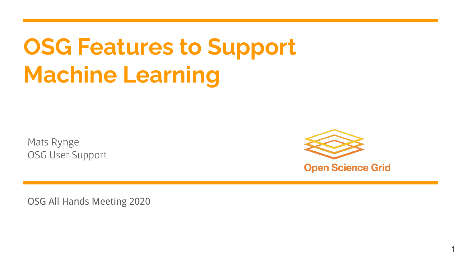# **OSG Features to Support Machine Learning**

Mats Rynge OSG User Support



1

OSG All Hands Meeting 2020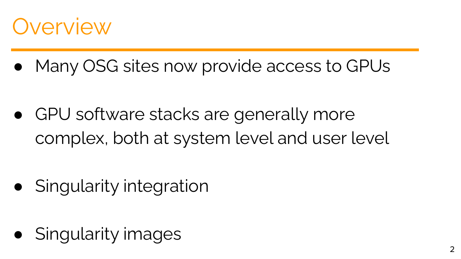### **Overview**

Many OSG sites now provide access to GPUs

GPU software stacks are generally more complex, both at system level and user level

**Singularity integration** 

Singularity images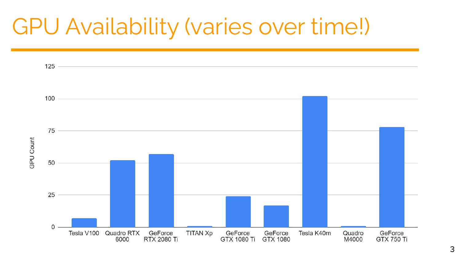### GPU Availability (varies over time!)

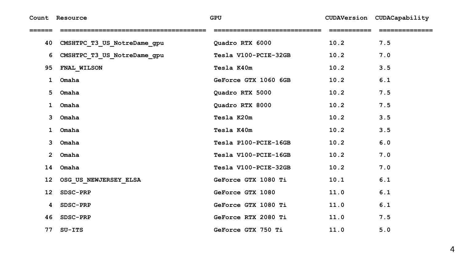**Count Resource GPU CUDAVersion CUDACapability**

| 40           | CMSHTPC_T3_US_NotreDame_gpu | Quadro RTX 6000      | 10.2 | 7.5 |
|--------------|-----------------------------|----------------------|------|-----|
| 6            | CMSHTPC_T3_US_NotreDame_gpu | Tesla V100-PCIE-32GB | 10.2 | 7.0 |
| 95           | FNAL_WILSON                 | Tesla K40m           | 10.2 | 3.5 |
| 1            | Omaha                       | GeForce GTX 1060 6GB | 10.2 | 6.1 |
| 5            | Omaha                       | Quadro RTX 5000      | 10.2 | 7.5 |
| 1            | Omaha                       | Quadro RTX 8000      | 10.2 | 7.5 |
| 3            | Omaha                       | Tesla K20m           | 10.2 | 3.5 |
| $\mathbf{1}$ | Omaha                       | Tesla K40m           | 10.2 | 3.5 |
| 3            | Omaha                       | Tesla P100-PCIE-16GB | 10.2 | 6.0 |
| $2^{\circ}$  | Omaha                       | Tesla V100-PCIE-16GB | 10.2 | 7.0 |
| 14           | Omaha                       | Tesla V100-PCIE-32GB | 10.2 | 7.0 |
| 12           | OSG_US_NEWJERSEY_ELSA       | GeForce GTX 1080 Ti  | 10.1 | 6.1 |
| 12           | SDSC-PRP                    | GeForce GTX 1080     | 11.0 | 6.1 |
| 4            | SDSC-PRP                    | GeForce GTX 1080 Ti  | 11.0 | 6.1 |
| 46           | SDSC-PRP                    | GeForce RTX 2080 Ti  | 11.0 | 7.5 |
| 77           | $SU-TTS$                    | GeForce GTX 750 Ti   | 11.0 | 5.0 |

 $\overline{4}$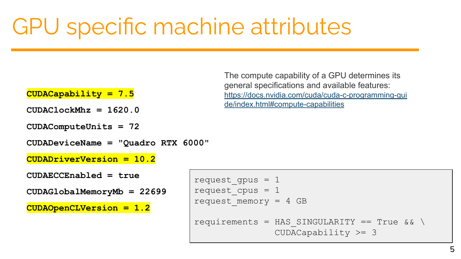### GPU specific machine attributes

#### **CUDACapability = 7.5**

**CUDAClockMhz = 1620.0**

**CUDAComputeUnits = 72**

**CUDADeviceName = "Quadro RTX 6000"**

**CUDADriverVersion = 10.2**

**CUDAECCEnabled = true**

**CUDAGlobalMemoryMb = 22699**

**CUDAOpenCLVersion = 1.2**

The compute capability of a GPU determines its general specifications and available features: [https://docs.nvidia.com/cuda/cuda-c-programming-gui](https://docs.nvidia.com/cuda/cuda-c-programming-guide/index.html#compute-capabilities) [de/index.html#compute-capabilities](https://docs.nvidia.com/cuda/cuda-c-programming-guide/index.html#compute-capabilities)

request qpus =  $1$ request  $cpus = 1$ request memory =  $4$  GB requirements = HAS SINGULARITY == True  $&\&\&\&$ CUDACapability >= 3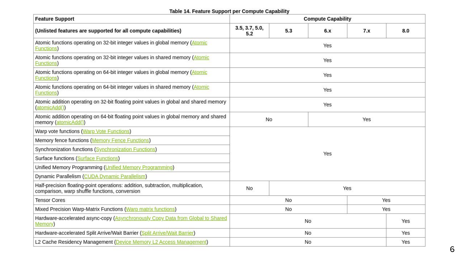#### Table 14. Feature Support per Compute Capability

| <b>Feature Support</b>                                                                                                             | <b>Compute Capability</b> |     |     |     |     |  |  |
|------------------------------------------------------------------------------------------------------------------------------------|---------------------------|-----|-----|-----|-----|--|--|
| (Unlisted features are supported for all compute capabilities)                                                                     | 3.5, 3.7, 5.0,<br>5.2     | 5.3 | 6.x | 7.x | 8.0 |  |  |
| Atomic functions operating on 32-bit integer values in global memory (Atomic<br><b>Functions</b>                                   | Yes                       |     |     |     |     |  |  |
| Atomic functions operating on 32-bit integer values in shared memory (Atomic<br><b>Functions</b>                                   | Yes                       |     |     |     |     |  |  |
| Atomic functions operating on 64-bit integer values in global memory (Atomic<br><b>Functions</b>                                   | Yes                       |     |     |     |     |  |  |
| Atomic functions operating on 64-bit integer values in shared memory (Atomic<br><b>Functions</b>                                   | Yes                       |     |     |     |     |  |  |
| Atomic addition operating on 32-bit floating point values in global and shared memory<br>(atomicAdd())                             | Yes                       |     |     |     |     |  |  |
| Atomic addition operating on 64-bit floating point values in global memory and shared<br>memory (atomicAdd())                      | No                        |     |     | Yes |     |  |  |
| Warp vote functions (Warp Vote Functions)                                                                                          | Yes                       |     |     |     |     |  |  |
| Memory fence functions (Memory Fence Functions)                                                                                    |                           |     |     |     |     |  |  |
| Synchronization functions (Synchronization Functions)                                                                              |                           |     |     |     |     |  |  |
| <b>Surface functions (Surface Functions)</b>                                                                                       |                           |     |     |     |     |  |  |
| Unified Memory Programming (Unified Memory Programming)                                                                            |                           |     |     |     |     |  |  |
| Dynamic Parallelism (CUDA Dynamic Parallelism)                                                                                     |                           |     |     |     |     |  |  |
| Half-precision floating-point operations: addition, subtraction, multiplication,<br>comparison, warp shuffle functions, conversion | No                        |     |     | Yes |     |  |  |
| <b>Tensor Cores</b>                                                                                                                | <b>No</b><br>Yes          |     |     |     |     |  |  |
| Mixed Precision Warp-Matrix Functions (Warp matrix functions)                                                                      | Yes<br>No                 |     |     |     |     |  |  |
| Hardware-accelerated async-copy (Asynchronously Copy Data from Global to Shared<br>Memory)                                         | Yes<br>No                 |     |     |     |     |  |  |
| Hardware-accelerated Split Arrive/Wait Barrier (Split Arrive/Wait Barrier)                                                         | <b>No</b><br>Yes          |     |     |     |     |  |  |
| L2 Cache Residency Management (Device Memory L2 Access Management)                                                                 | No                        |     |     |     | Yes |  |  |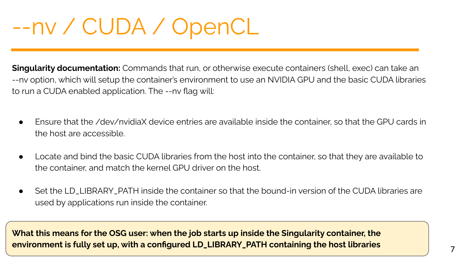### --nv / CUDA / OpenCL

**Singularity documentation:** Commands that run, or otherwise execute containers (shell, exec) can take an --nv option, which will setup the container's environment to use an NVIDIA GPU and the basic CUDA libraries to run a CUDA enabled application. The --nv flag will:

- Ensure that the /dev/nvidiaX device entries are available inside the container, so that the GPU cards in the host are accessible.
- Locate and bind the basic CUDA libraries from the host into the container, so that they are available to the container, and match the kernel GPU driver on the host.
- Set the LD\_LIBRARY\_PATH inside the container so that the bound-in version of the CUDA libraries are used by applications run inside the container.

**What this means for the OSG user: when the job starts up inside the Singularity container, the environment is fully set up, with a configured LD\_LIBRARY\_PATH containing the host libraries**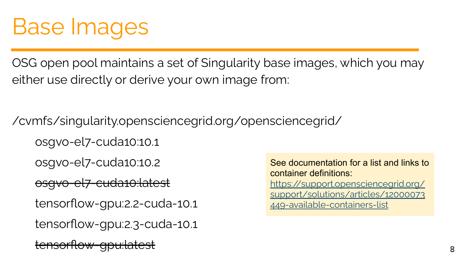### Base Images

OSG open pool maintains a set of Singularity base images, which you may either use directly or derive your own image from:

/cvmfs/singularity.opensciencegrid.org/opensciencegrid/ osgvo-el7-cuda10:10.1

osgvo-el7-cuda10:10.2

osgvo-el7-cuda10:latest

tensorflow-gpu:2.2-cuda-10.1

tensorflow-gpu:2.3-cuda-10.1

<del>sorflow-gpu:la</del>

See documentation for a list and links to container definitions: [https://support.opensciencegrid.org/](https://support.opensciencegrid.org/support/solutions/articles/12000073449-available-containers-list) [support/solutions/articles/12000073](https://support.opensciencegrid.org/support/solutions/articles/12000073449-available-containers-list) [449-available-containers-list](https://support.opensciencegrid.org/support/solutions/articles/12000073449-available-containers-list)